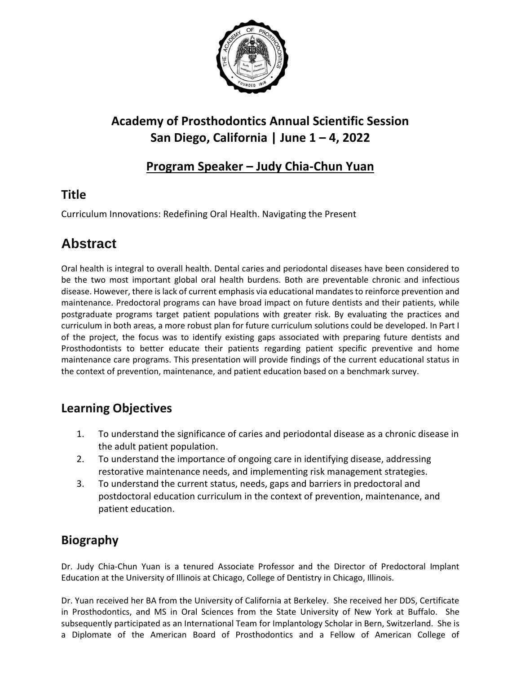

## **Academy of Prosthodontics Annual Scientific Session San Diego, California | June 1 – 4, 2022**

### **Program Speaker – Judy Chia-Chun Yuan**

### **Title**

Curriculum Innovations: Redefining Oral Health. Navigating the Present

# **Abstract**

Oral health is integral to overall health. Dental caries and periodontal diseases have been considered to be the two most important global oral health burdens. Both are preventable chronic and infectious disease. However, there is lack of current emphasis via educational mandates to reinforce prevention and maintenance. Predoctoral programs can have broad impact on future dentists and their patients, while postgraduate programs target patient populations with greater risk. By evaluating the practices and curriculum in both areas, a more robust plan for future curriculum solutions could be developed. In Part I of the project, the focus was to identify existing gaps associated with preparing future dentists and Prosthodontists to better educate their patients regarding patient specific preventive and home maintenance care programs. This presentation will provide findings of the current educational status in the context of prevention, maintenance, and patient education based on a benchmark survey.

### **Learning Objectives**

- 1. To understand the significance of caries and periodontal disease as a chronic disease in the adult patient population.
- 2. To understand the importance of ongoing care in identifying disease, addressing restorative maintenance needs, and implementing risk management strategies.
- 3. To understand the current status, needs, gaps and barriers in predoctoral and postdoctoral education curriculum in the context of prevention, maintenance, and patient education.

### **Biography**

Dr. Judy Chia-Chun Yuan is a tenured Associate Professor and the Director of Predoctoral Implant Education at the University of Illinois at Chicago, College of Dentistry in Chicago, Illinois.

Dr. Yuan received her BA from the University of California at Berkeley. She received her DDS, Certificate in Prosthodontics, and MS in Oral Sciences from the State University of New York at Buffalo. She subsequently participated as an International Team for Implantology Scholar in Bern, Switzerland. She is a Diplomate of the American Board of Prosthodontics and a Fellow of American College of